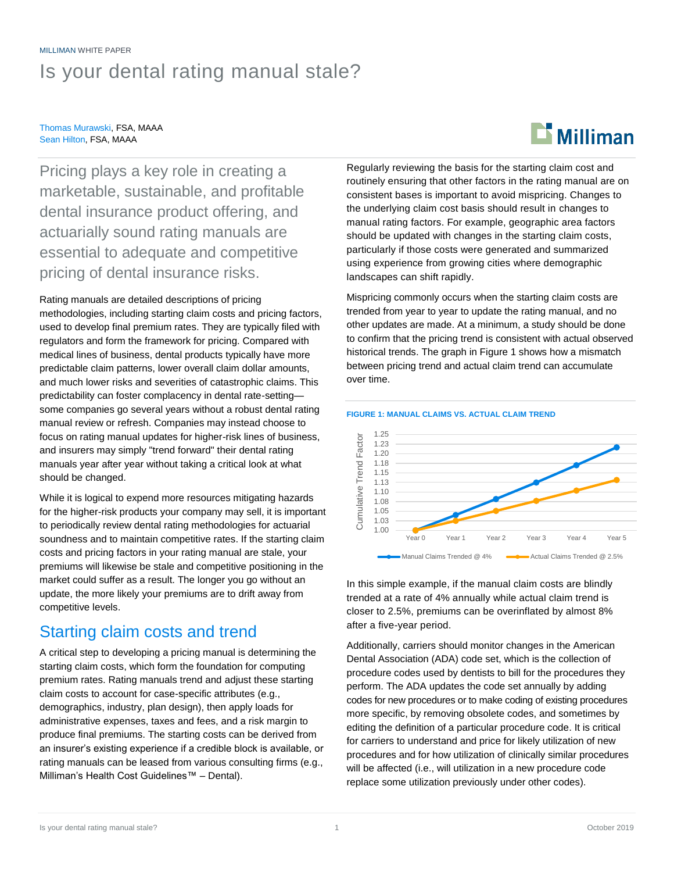# MILLIMAN WHITE PAPER Is your dental rating manual stale?

#### Thomas Murawski, FSA, MAAA Sean Hilton, FSA, MAAA

# $\mathbf{E}$  Milliman

Pricing plays a key role in creating a marketable, sustainable, and profitable dental insurance product offering, and actuarially sound rating manuals are essential to adequate and competitive pricing of dental insurance risks.

Rating manuals are detailed descriptions of pricing methodologies, including starting claim costs and pricing factors, used to develop final premium rates. They are typically filed with regulators and form the framework for pricing. Compared with medical lines of business, dental products typically have more predictable claim patterns, lower overall claim dollar amounts, and much lower risks and severities of catastrophic claims. This predictability can foster complacency in dental rate-setting some companies go several years without a robust dental rating manual review or refresh. Companies may instead choose to focus on rating manual updates for higher-risk lines of business, and insurers may simply "trend forward" their dental rating manuals year after year without taking a critical look at what should be changed.

While it is logical to expend more resources mitigating hazards for the higher-risk products your company may sell, it is important to periodically review dental rating methodologies for actuarial soundness and to maintain competitive rates. If the starting claim costs and pricing factors in your rating manual are stale, your premiums will likewise be stale and competitive positioning in the market could suffer as a result. The longer you go without an update, the more likely your premiums are to drift away from competitive levels.

## Starting claim costs and trend

A critical step to developing a pricing manual is determining the starting claim costs, which form the foundation for computing premium rates. Rating manuals trend and adjust these starting claim costs to account for case-specific attributes (e.g., demographics, industry, plan design), then apply loads for administrative expenses, taxes and fees, and a risk margin to produce final premiums. The starting costs can be derived from an insurer's existing experience if a credible block is available, or rating manuals can be leased from various consulting firms (e.g., Milliman's Health Cost Guidelines™ – Dental).

Regularly reviewing the basis for the starting claim cost and routinely ensuring that other factors in the rating manual are on consistent bases is important to avoid mispricing. Changes to the underlying claim cost basis should result in changes to manual rating factors. For example, geographic area factors should be updated with changes in the starting claim costs, particularly if those costs were generated and summarized using experience from growing cities where demographic landscapes can shift rapidly.

Mispricing commonly occurs when the starting claim costs are trended from year to year to update the rating manual, and no other updates are made. At a minimum, a study should be done to confirm that the pricing trend is consistent with actual observed historical trends. The graph in Figure 1 shows how a mismatch between pricing trend and actual claim trend can accumulate over time.





In this simple example, if the manual claim costs are blindly trended at a rate of 4% annually while actual claim trend is closer to 2.5%, premiums can be overinflated by almost 8% after a five-year period.

Additionally, carriers should monitor changes in the American Dental Association (ADA) code set, which is the collection of procedure codes used by dentists to bill for the procedures they perform. The ADA updates the code set annually by adding codes for new procedures or to make coding of existing procedures more specific, by removing obsolete codes, and sometimes by editing the definition of a particular procedure code. It is critical for carriers to understand and price for likely utilization of new procedures and for how utilization of clinically similar procedures will be affected (i.e., will utilization in a new procedure code replace some utilization previously under other codes).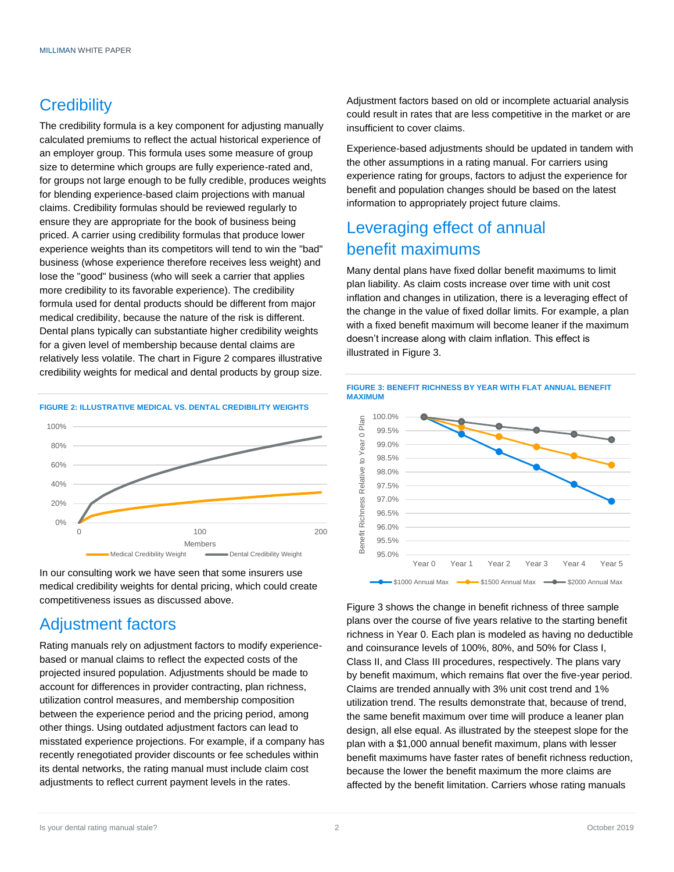# **Credibility**

The credibility formula is a key component for adjusting manually calculated premiums to reflect the actual historical experience of an employer group. This formula uses some measure of group size to determine which groups are fully experience-rated and, for groups not large enough to be fully credible, produces weights for blending experience-based claim projections with manual claims. Credibility formulas should be reviewed regularly to ensure they are appropriate for the book of business being priced. A carrier using credibility formulas that produce lower experience weights than its competitors will tend to win the "bad" business (whose experience therefore receives less weight) and lose the "good" business (who will seek a carrier that applies more credibility to its favorable experience). The credibility formula used for dental products should be different from major medical credibility, because the nature of the risk is different. Dental plans typically can substantiate higher credibility weights for a given level of membership because dental claims are relatively less volatile. The chart in Figure 2 compares illustrative credibility weights for medical and dental products by group size.

#### **FIGURE 2: ILLUSTRATIVE MEDICAL VS. DENTAL CREDIBILITY WEIGHTS**



In our consulting work we have seen that some insurers use medical credibility weights for dental pricing, which could create competitiveness issues as discussed above.

## Adjustment factors

Rating manuals rely on adjustment factors to modify experiencebased or manual claims to reflect the expected costs of the projected insured population. Adjustments should be made to account for differences in provider contracting, plan richness, utilization control measures, and membership composition between the experience period and the pricing period, among other things. Using outdated adjustment factors can lead to misstated experience projections. For example, if a company has recently renegotiated provider discounts or fee schedules within its dental networks, the rating manual must include claim cost adjustments to reflect current payment levels in the rates.

Adjustment factors based on old or incomplete actuarial analysis could result in rates that are less competitive in the market or are insufficient to cover claims.

Experience-based adjustments should be updated in tandem with the other assumptions in a rating manual. For carriers using experience rating for groups, factors to adjust the experience for benefit and population changes should be based on the latest information to appropriately project future claims.

# Leveraging effect of annual benefit maximums

Many dental plans have fixed dollar benefit maximums to limit plan liability. As claim costs increase over time with unit cost inflation and changes in utilization, there is a leveraging effect of the change in the value of fixed dollar limits. For example, a plan with a fixed benefit maximum will become leaner if the maximum doesn't increase along with claim inflation. This effect is illustrated in Figure 3.



Figure 3 shows the change in benefit richness of three sample plans over the course of five years relative to the starting benefit richness in Year 0. Each plan is modeled as having no deductible and coinsurance levels of 100%, 80%, and 50% for Class I, Class II, and Class III procedures, respectively. The plans vary by benefit maximum, which remains flat over the five-year period. Claims are trended annually with 3% unit cost trend and 1% utilization trend. The results demonstrate that, because of trend, the same benefit maximum over time will produce a leaner plan design, all else equal. As illustrated by the steepest slope for the plan with a \$1,000 annual benefit maximum, plans with lesser benefit maximums have faster rates of benefit richness reduction, because the lower the benefit maximum the more claims are affected by the benefit limitation. Carriers whose rating manuals

#### **FIGURE 3: BENEFIT RICHNESS BY YEAR WITH FLAT ANNUAL BENEFIT MAXIMUM**